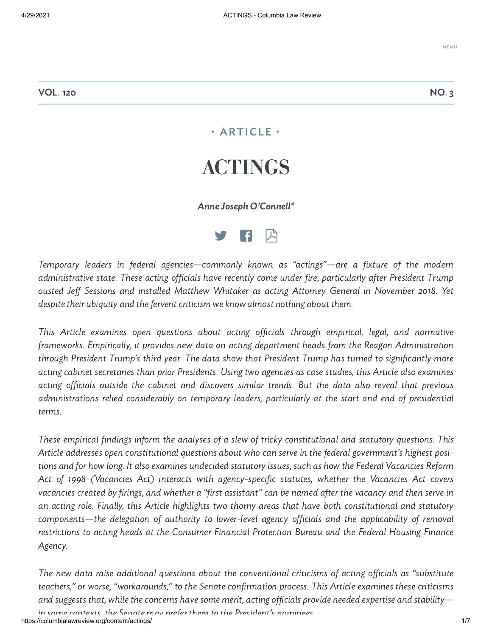# • ARTICLE • ACTINGS

### Anne Joseph O'Connell\*



Temporary leaders in federal agencies—commonly known as "actings"—are a fixture of the modern administrative state. These acting officials have recently come under fire, particularly after President Trump ousted Jeff Sessions and installed Matthew Whitaker as acting Attorney General in November 2018. Yet despite their ubiquity and the fervent criticism we know almost nothing about them.

This Article examines open questions about acting officials through empirical, legal, and normative frameworks. Empirically, it provides new data on acting department heads from the Reagan Administration through President Trump's third year. The data show that President Trump has turned to significantly more acting cabinet secretaries than prior Presidents. Using two agencies as case studies, this Article also examines acting officials outside the cabinet and discovers similar trends. But the data also reveal that previous administrations relied considerably on temporary leaders, particularly at the start and end of presidential terms.

These empirical findings inform the analyses of a slew of tricky constitutional and statutory questions. This Article addresses open constitutional questions about who can serve in the federal government's highest positions and for how long. It also examines undecided statutory issues, such as how the Federal Vacancies Reform Act of 1998 (Vacancies Act) interacts with agency-specific statutes, whether the Vacancies Act covers vacancies created by firings, and whether a "first assistant" can be named after the vacancy and then serve in an acting role. Finally, this Article highlights two thorny areas that have both constitutional and statutory components—the delegation of authority to lower-level agency officials and the applicability of removal restrictions to acting heads at the Consumer Financial Protection Bureau and the Federal Housing Finance Agency.

The new data raise additional questions about the conventional criticisms of acting officials as "substitute teachers," or worse, "workarounds," to the Senate confirmation process. This Article examines these criticisms and suggests that, while the concerns have some merit, acting officials provide needed expertise and stability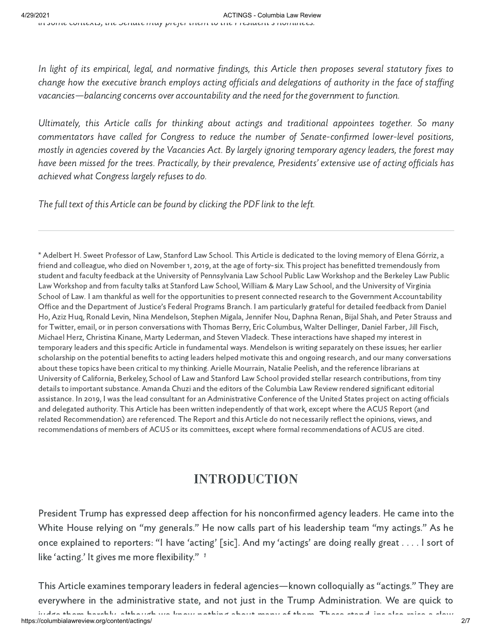In light of its empirical, legal, and normative findings, this Article then proposes several statutory fixes to change how the executive branch employs acting officials and delegations of authority in the face of staffing vacancies—balancing concerns over accountability and the need for the government to function.

Ultimately, this Article calls for thinking about actings and traditional appointees together. So many commentators have called for Congress to reduce the number of Senate-confirmed lower-level positions, mostly in agencies covered by the Vacancies Act. By largely ignoring temporary agency leaders, the forest may have been missed for the trees. Practically, by their prevalence, Presidents' extensive use of acting officials has achieved what Congress largely refuses to do.

The full text of this Article can be found by clicking the PDF link to the left.

\* Adelbert H. Sweet Professor of Law, Stanford Law School. This Article is dedicated to the loving memory of Elena Górriz, a friend and colleague, who died on November 1, 2019, at the age of forty-six. This project has benefitted tremendously from student and faculty feedback at the University of Pennsylvania Law School Public Law Workshop and the Berkeley Law Public Law Workshop and from faculty talks at Stanford Law School, William & Mary Law School, and the University of Virginia School of Law. I am thankful as well for the opportunities to present connected research to the Government Accountability Office and the Department of Justice's Federal Programs Branch. I am particularly grateful for detailed feedback from Daniel Ho, Aziz Huq, Ronald Levin, Nina Mendelson, Stephen Migala, Jennifer Nou, Daphna Renan, Bijal Shah, and Peter Strauss and for Twitter, email, or in person conversations with Thomas Berry, Eric Columbus, Walter Dellinger, Daniel Farber, Jill Fisch, Michael Herz, Christina Kinane, Marty Lederman, and Steven Vladeck. These interactions have shaped my interest in temporary leaders and this specific Article in fundamental ways. Mendelson is writing separately on these issues; her earlier scholarship on the potential benefits to acting leaders helped motivate this and ongoing research, and our many conversations about these topics have been critical to my thinking. Arielle Mourrain, Natalie Peelish, and the reference librarians at University of California, Berkeley, School of Law and Stanford Law School provided stellar research contributions, from tiny details to important substance. Amanda Chuzi and the editors of the Columbia Law Review rendered significant editorial assistance. In 2019, I was the lead consultant for an Administrative Conference of the United States project on acting officials and delegated authority. This Article has been written independently of that work, except where the ACUS Report (and related Recommendation) are referenced. The Report and this Article do not necessarily reflect the opinions, views, and recommendations of members of ACUS or its committees, except where formal recommendations of ACUS are cited.

# INTRODUCTION

President Trump has expressed deep affection for his nonconfirmed agency leaders. He came into the White House relying on "my generals." He now calls part of his leadership team "my actings." As he once explained to reporters: "I have 'acting' [sic]. And my 'actings' are doing really great . . . . I sort of like 'acting.' It gives me more flexibility."<sup>1</sup>

This Article examines temporary leaders in federal agencies—known colloquially as "actings." They are everywhere in the administrative state, and not just in the Trump Administration. We are quick to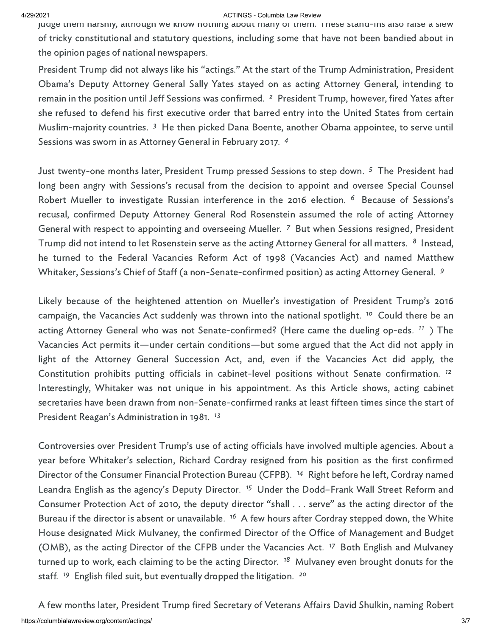#### 4/29/2021 ACTINGS - Columbia Law Review

judge them harshly, although we know nothing about many of them. These stand-ins also raise a slew of tricky constitutional and statutory questions, including some that have not been bandied about in the opinion pages of national newspapers.

President Trump did not always like his "actings." At the start of the Trump Administration, President Obama's Deputy Attorney General Sally Yates stayed on as acting Attorney General, intending to remain in the position until Jeff Sessions was confirmed. <sup>2</sup> President Trump, however, fired Yates after she refused to defend his first executive order that barred entry into the United States from certain Muslim-majority countries.<sup>3</sup> He then picked Dana Boente, another Obama appointee, to serve until Sessions was sworn in as Attorney General in February 2017.<sup>4</sup>

Just twenty-one months later, President Trump pressed Sessions to step down. <sup>5</sup> The President had long been angry with Sessions's recusal from the decision to appoint and oversee Special Counsel Robert Mueller to investigate Russian interference in the 2016 election. <sup>6</sup> Because of Sessions's recusal, confirmed Deputy Attorney General Rod Rosenstein assumed the role of acting Attorney General with respect to appointing and overseeing Mueller. 7 But when Sessions resigned, President Trump did not intend to let Rosenstein serve as the acting Attorney General for all matters. 8 Instead, he turned to the Federal Vacancies Reform Act of 1998 (Vacancies Act) and named Matthew Whitaker, Sessions's Chief of Staff (a non-Senate-confirmed position) as acting Attorney General. <sup>9</sup>

Likely because of the heightened attention on Mueller's investigation of President Trump's 2016 campaign, the Vacancies Act suddenly was thrown into the national spotlight.<sup>10</sup> Could there be an acting Attorney General who was not Senate-confirmed? (Here came the dueling op-eds. <sup>11</sup> ) The Vacancies Act permits it—under certain conditions—but some argued that the Act did not apply in light of the Attorney General Succession Act, and, even if the Vacancies Act did apply, the Constitution prohibits putting officials in cabinet-level positions without Senate confirmation. 12 Interestingly, Whitaker was not unique in his appointment. As this Article shows, acting cabinet secretaries have been drawn from non-Senate-confirmed ranks at least fifteen times since the start of President Reagan's Administration in 1981.<sup>13</sup>

Controversies over President Trump's use of acting officials have involved multiple agencies. About a year before Whitaker's selection, Richard Cordray resigned from his position as the first confirmed Director of the Consumer Financial Protection Bureau (CFPB). <sup>14</sup> Right before he left, Cordray named Leandra English as the agency's Deputy Director. <sup>15</sup> Under the Dodd-Frank Wall Street Reform and Consumer Protection Act of 2010, the deputy director "shall . . . serve" as the acting director of the Bureau if the director is absent or unavailable. <sup>16</sup> A few hours after Cordray stepped down, the White House designated Mick Mulvaney, the confirmed Director of the Office of Management and Budget (OMB), as the acting Director of the CFPB under the Vacancies Act. <sup>17</sup> Both English and Mulvaney turned up to work, each claiming to be the acting Director. <sup>18</sup> Mulvaney even brought donuts for the staff.<sup>19</sup> English filed suit, but eventually dropped the litigation.<sup>20</sup>

https://columbialawreview.org/content/actings/ 3/7 A few months later, President Trump fired Secretary of Veterans Affairs David Shulkin, naming Robert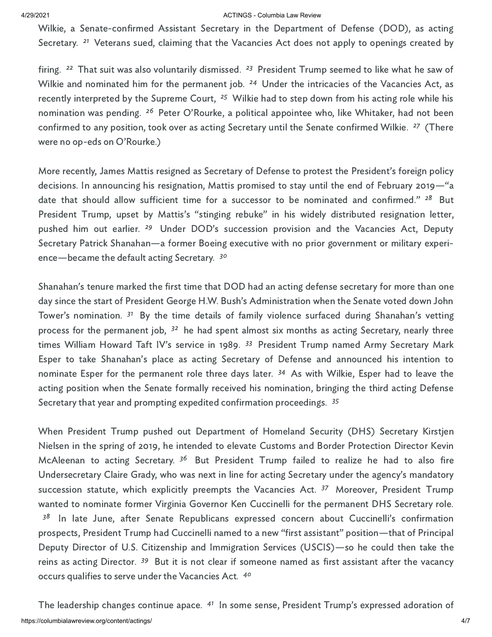#### 4/29/2021 ACTINGS - Columbia Law Review

Wilkie, a Senate-confirmed Assistant Secretary in the Department of Defense (DOD), as acting Secretary.<sup>21</sup> Veterans sued, claiming that the Vacancies Act does not apply to openings created by

firing.<sup>22</sup> That suit was also voluntarily dismissed.<sup>23</sup> President Trump seemed to like what he saw of Wilkie and nominated him for the permanent job. <sup>24</sup> Under the intricacies of the Vacancies Act, as recently interpreted by the Supreme Court, <sup>25</sup> Wilkie had to step down from his acting role while his nomination was pending. <sup>26</sup> Peter O'Rourke, a political appointee who, like Whitaker, had not been confirmed to any position, took over as acting Secretary until the Senate confirmed Wilkie. <sup>27</sup> (There were no op-eds on O'Rourke.)

More recently, James Mattis resigned as Secretary of Defense to protest the President's foreign policy decisions. In announcing his resignation, Mattis promised to stay until the end of February 2019—"a date that should allow sufficient time for a successor to be nominated and confirmed."<sup>28</sup> But President Trump, upset by Mattis's "stinging rebuke" in his widely distributed resignation letter, pushed him out earlier. <sup>29</sup> Under DOD's succession provision and the Vacancies Act, Deputy Secretary Patrick Shanahan—a former Boeing executive with no prior government or military experience—became the default acting Secretary. <sup>30</sup>

Shanahan's tenure marked the first time that DOD had an acting defense secretary for more than one day since the start of President George H.W. Bush's Administration when the Senate voted down John Tower's nomination. <sup>31</sup> By the time details of family violence surfaced during Shanahan's vetting process for the permanent job, <sup>32</sup> he had spent almost six months as acting Secretary, nearly three times William Howard Taft IV's service in 1989. <sup>33</sup> President Trump named Army Secretary Mark Esper to take Shanahan's place as acting Secretary of Defense and announced his intention to nominate Esper for the permanent role three days later. <sup>34</sup> As with Wilkie, Esper had to leave the acting position when the Senate formally received his nomination, bringing the third acting Defense Secretary that year and prompting expedited confirmation proceedings. <sup>35</sup>

When President Trump pushed out Department of Homeland Security (DHS) Secretary Kirstjen Nielsen in the spring of 2019, he intended to elevate Customs and Border Protection Director Kevin McAleenan to acting Secretary. <sup>36</sup> But President Trump failed to realize he had to also fire Undersecretary Claire Grady, who was next in line for acting Secretary under the agency's mandatory succession statute, which explicitly preempts the Vacancies Act. <sup>37</sup> Moreover, President Trump wanted to nominate former Virginia Governor Ken Cuccinelli for the permanent DHS Secretary role. <sup>38</sup> In late June, after Senate Republicans expressed concern about Cuccinelli's confirmation prospects, President Trump had Cuccinelli named to a new "first assistant" position—that of Principal Deputy Director of U.S. Citizenship and Immigration Services (USCIS)—so he could then take the reins as acting Director. <sup>39</sup> But it is not clear if someone named as first assistant after the vacancy occurs qualifies to serve under the Vacancies Act. 40

https://columbialawreview.org/content/actings/ 4/7 The leadership changes continue apace. <sup>41</sup> In some sense, President Trump's expressed adoration of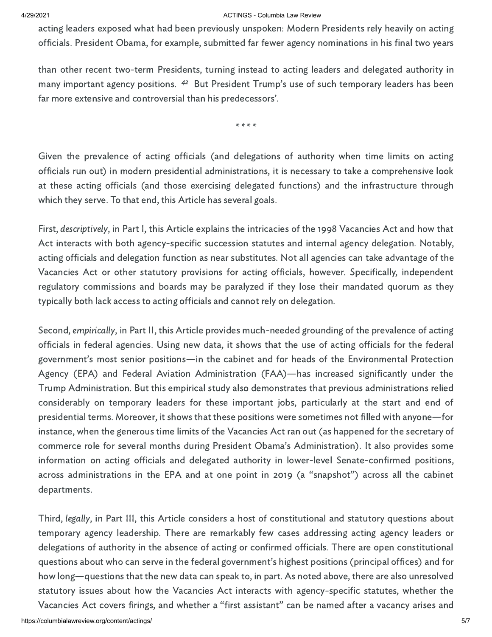#### A/29/2021 **ACTINGS** - Columbia Law Review

acting leaders exposed what had been previously unspoken: Modern Presidents rely heavily on acting officials. President Obama, for example, submitted far fewer agency nominations in his final two years

than other recent two-term Presidents, turning instead to acting leaders and delegated authority in many important agency positions. <sup>42</sup> But President Trump's use of such temporary leaders has been far more extensive and controversial than his predecessors'.

\* \* \* \*

Given the prevalence of acting officials (and delegations of authority when time limits on acting officials run out) in modern presidential administrations, it is necessary to take a comprehensive look at these acting officials (and those exercising delegated functions) and the infrastructure through which they serve. To that end, this Article has several goals.

First, descriptively, in Part I, this Article explains the intricacies of the 1998 Vacancies Act and how that Act interacts with both agency-specific succession statutes and internal agency delegation. Notably, acting officials and delegation function as near substitutes. Not all agencies can take advantage of the Vacancies Act or other statutory provisions for acting officials, however. Specifically, independent regulatory commissions and boards may be paralyzed if they lose their mandated quorum as they typically both lack access to acting officials and cannot rely on delegation.

Second, empirically, in Part II, this Article provides much-needed grounding of the prevalence of acting officials in federal agencies. Using new data, it shows that the use of acting officials for the federal government's most senior positions—in the cabinet and for heads of the Environmental Protection Agency (EPA) and Federal Aviation Administration (FAA)—has increased significantly under the Trump Administration. But this empirical study also demonstrates that previous administrations relied considerably on temporary leaders for these important jobs, particularly at the start and end of presidential terms. Moreover, it shows that these positions were sometimes not filled with anyone—for instance, when the generous time limits of the Vacancies Act ran out (as happened for the secretary of commerce role for several months during President Obama's Administration). It also provides some information on acting officials and delegated authority in lower-level Senate-confirmed positions, across administrations in the EPA and at one point in 2019 (a "snapshot") across all the cabinet departments.

Third, legally, in Part III, this Article considers a host of constitutional and statutory questions about temporary agency leadership. There are remarkably few cases addressing acting agency leaders or delegations of authority in the absence of acting or confirmed officials. There are open constitutional questions about who can serve in the federal government's highest positions (principal offices) and for how long—questions that the new data can speak to, in part. As noted above, there are also unresolved statutory issues about how the Vacancies Act interacts with agency-specific statutes, whether the

Vacancies Act covers firings, and whether a "first assistant" can be named after a vacancy arises and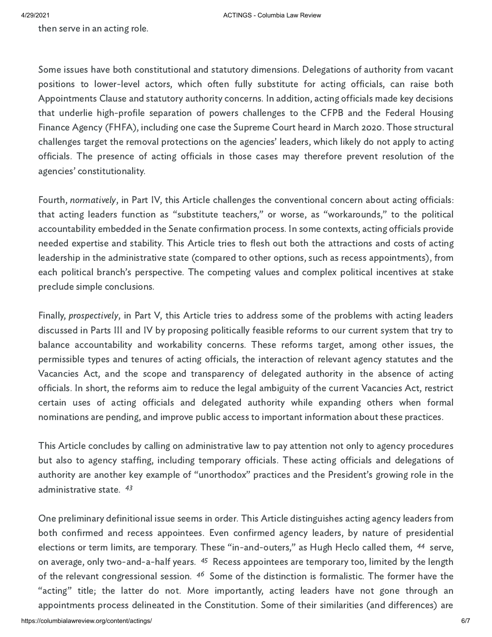then serve in an acting role.

Some issues have both constitutional and statutory dimensions. Delegations of authority from vacant positions to lower-level actors, which often fully substitute for acting officials, can raise both Appointments Clause and statutory authority concerns. In addition, acting officials made key decisions that underlie high-profile separation of powers challenges to the CFPB and the Federal Housing Finance Agency (FHFA), including one case the Supreme Court heard in March 2020. Those structural challenges target the removal protections on the agencies' leaders, which likely do not apply to acting officials. The presence of acting officials in those cases may therefore prevent resolution of the agencies' constitutionality.

Fourth, normatively, in Part IV, this Article challenges the conventional concern about acting officials: that acting leaders function as "substitute teachers," or worse, as "workarounds," to the political accountability embedded in the Senate confirmation process. In some contexts, acting officials provide needed expertise and stability. This Article tries to flesh out both the attractions and costs of acting leadership in the administrative state (compared to other options, such as recess appointments), from each political branch's perspective. The competing values and complex political incentives at stake preclude simple conclusions.

Finally, prospectively, in Part V, this Article tries to address some of the problems with acting leaders discussed in Parts III and IV by proposing politically feasible reforms to our current system that try to balance accountability and workability concerns. These reforms target, among other issues, the permissible types and tenures of acting officials, the interaction of relevant agency statutes and the Vacancies Act, and the scope and transparency of delegated authority in the absence of acting officials. In short, the reforms aim to reduce the legal ambiguity of the current Vacancies Act, restrict certain uses of acting officials and delegated authority while expanding others when formal nominations are pending, and improve public access to important information about these practices.

This Article concludes by calling on administrative law to pay attention not only to agency procedures but also to agency staffing, including temporary officials. These acting officials and delegations of authority are another key example of "unorthodox" practices and the President's growing role in the administrative state. <sup>43</sup>

One preliminary definitional issue seems in order. This Article distinguishes acting agency leaders from both confirmed and recess appointees. Even confirmed agency leaders, by nature of presidential elections or term limits, are temporary. These "in-and-outers," as Hugh Heclo called them, <sup>44</sup> serve, on average, only two-and-a-half years. <sup>45</sup> Recess appointees are temporary too, limited by the length of the relevant congressional session. <sup>46</sup> Some of the distinction is formalistic. The former have the "acting" title; the latter do not. More importantly, acting leaders have not gone through an appointments process delineated in the Constitution. Some of their similarities (and differences) are